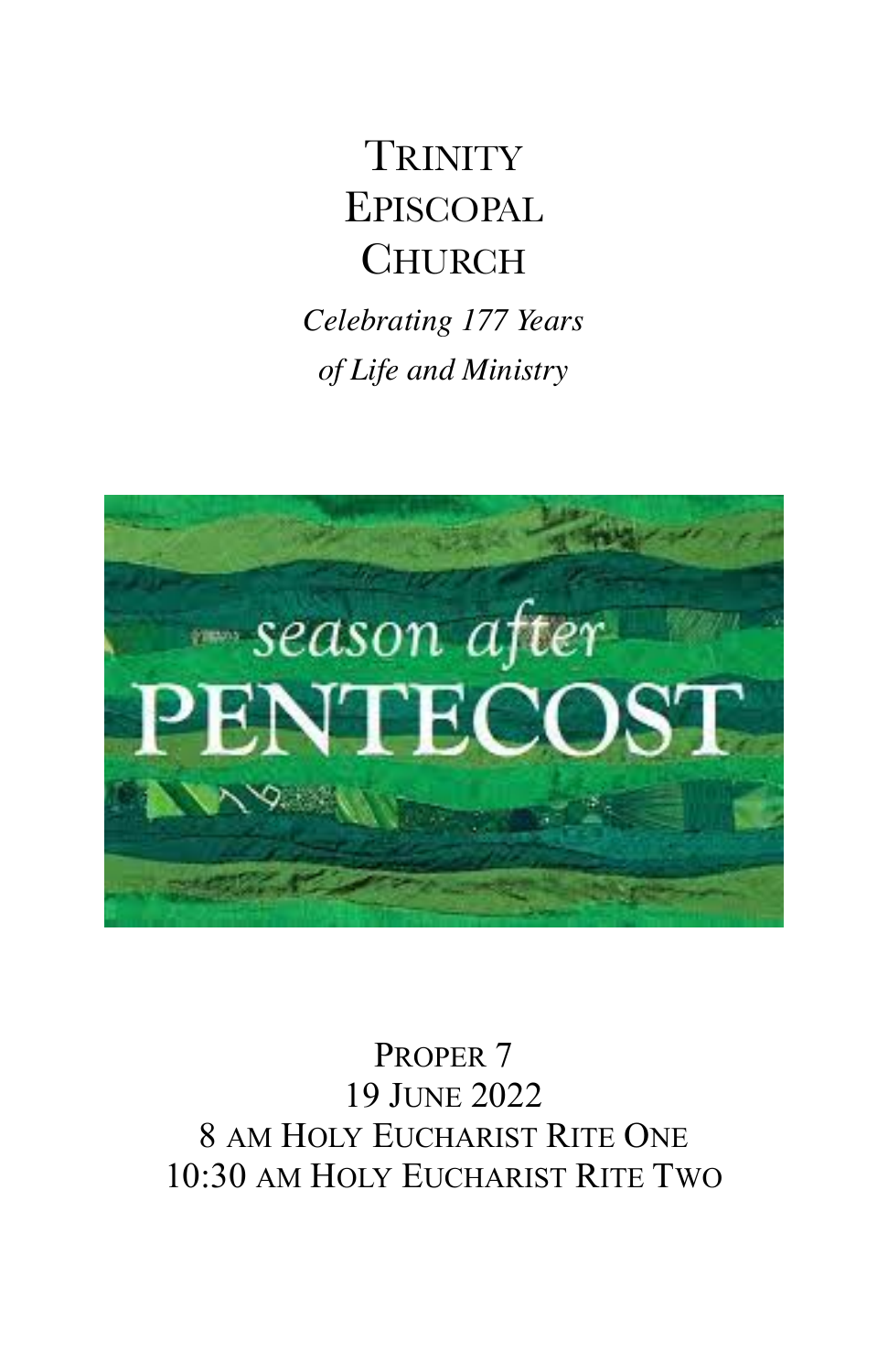# **TRINITY** EPISCOPAL **CHURCH**

*Celebrating 177 Years of Life and Ministry* 



PROPER 7 19 JUNE 2022 8 AM HOLY EUCHARIST RITE ONE 10:30 AM HOLY EUCHARIST RITE TWO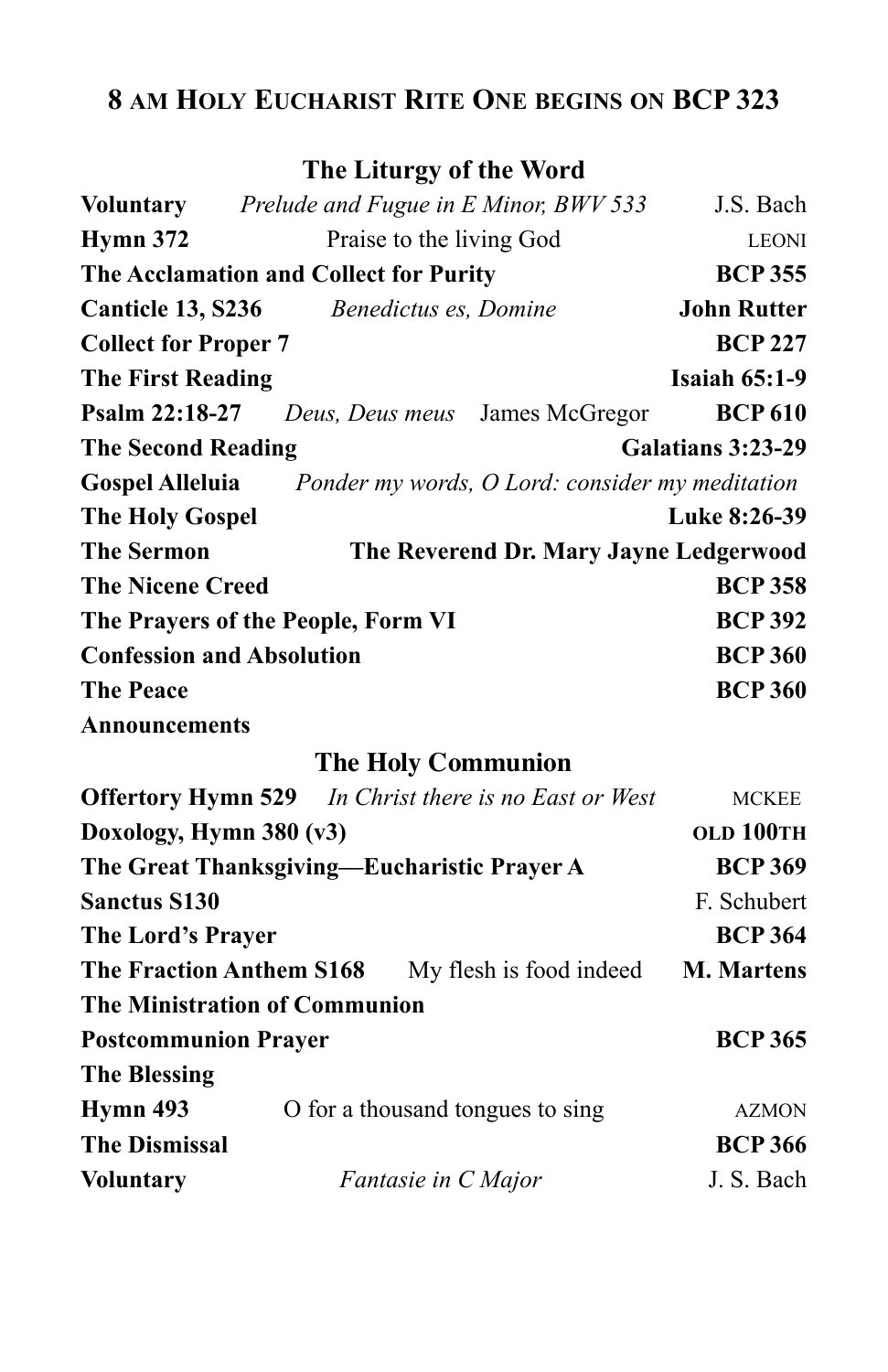## **8 AM HOLY EUCHARIST RITE ONE BEGINS ON BCP 323**

### **The Liturgy of the Word**

| Voluntary                          | Prelude and Fugue in E Minor, BWV 533          |                                                 | J.S. Bach          |
|------------------------------------|------------------------------------------------|-------------------------------------------------|--------------------|
| <b>Hymn 372</b>                    | Praise to the living God                       |                                                 | <b>LEONI</b>       |
|                                    | The Acclamation and Collect for Purity         |                                                 | <b>BCP 355</b>     |
|                                    | <b>Canticle 13, S236</b> Benedictus es, Domine |                                                 | <b>John Rutter</b> |
| <b>Collect for Proper 7</b>        |                                                |                                                 | <b>BCP 227</b>     |
| <b>The First Reading</b>           |                                                |                                                 | Isaiah $65:1-9$    |
| Psalm 22:18-27                     |                                                | Deus, Deus meus James McGregor                  | <b>BCP 610</b>     |
| <b>The Second Reading</b>          |                                                | Galatians 3:23-29                               |                    |
| <b>Gospel Alleluia</b>             |                                                | Ponder my words, O Lord: consider my meditation |                    |
| <b>The Holy Gospel</b>             |                                                |                                                 | Luke 8:26-39       |
| <b>The Sermon</b>                  | The Reverend Dr. Mary Jayne Ledgerwood         |                                                 |                    |
| <b>The Nicene Creed</b>            |                                                |                                                 | <b>BCP 358</b>     |
| The Prayers of the People, Form VI |                                                |                                                 | <b>BCP 392</b>     |
| <b>Confession and Absolution</b>   |                                                |                                                 | <b>BCP 360</b>     |
| <b>The Peace</b>                   |                                                |                                                 | <b>BCP 360</b>     |
| <b>Announcements</b>               |                                                |                                                 |                    |

### **The Holy Communion**

|                                                                          | <b>Offertory Hymn 529</b> In Christ there is no East or West | MCKEE             |
|--------------------------------------------------------------------------|--------------------------------------------------------------|-------------------|
| Doxology, Hymn $380 (v3)$<br>The Great Thanksgiving—Eucharistic Prayer A |                                                              | OLD 100TH         |
|                                                                          |                                                              | <b>BCP 369</b>    |
| <b>Sanctus S130</b>                                                      |                                                              | F. Schubert       |
| The Lord's Prayer                                                        |                                                              | <b>BCP 364</b>    |
| The Fraction Anthem S168                                                 | My flesh is food indeed                                      | <b>M. Martens</b> |
| <b>The Ministration of Communion</b>                                     |                                                              |                   |
| <b>Postcommunion Prayer</b>                                              |                                                              | <b>BCP 365</b>    |
| <b>The Blessing</b>                                                      |                                                              |                   |
| Hymn 493                                                                 | O for a thousand tongues to sing                             | <b>AZMON</b>      |
| <b>The Dismissal</b>                                                     |                                                              | <b>BCP 366</b>    |
| <b>Voluntary</b>                                                         | Fantasie in C Major                                          | J. S. Bach        |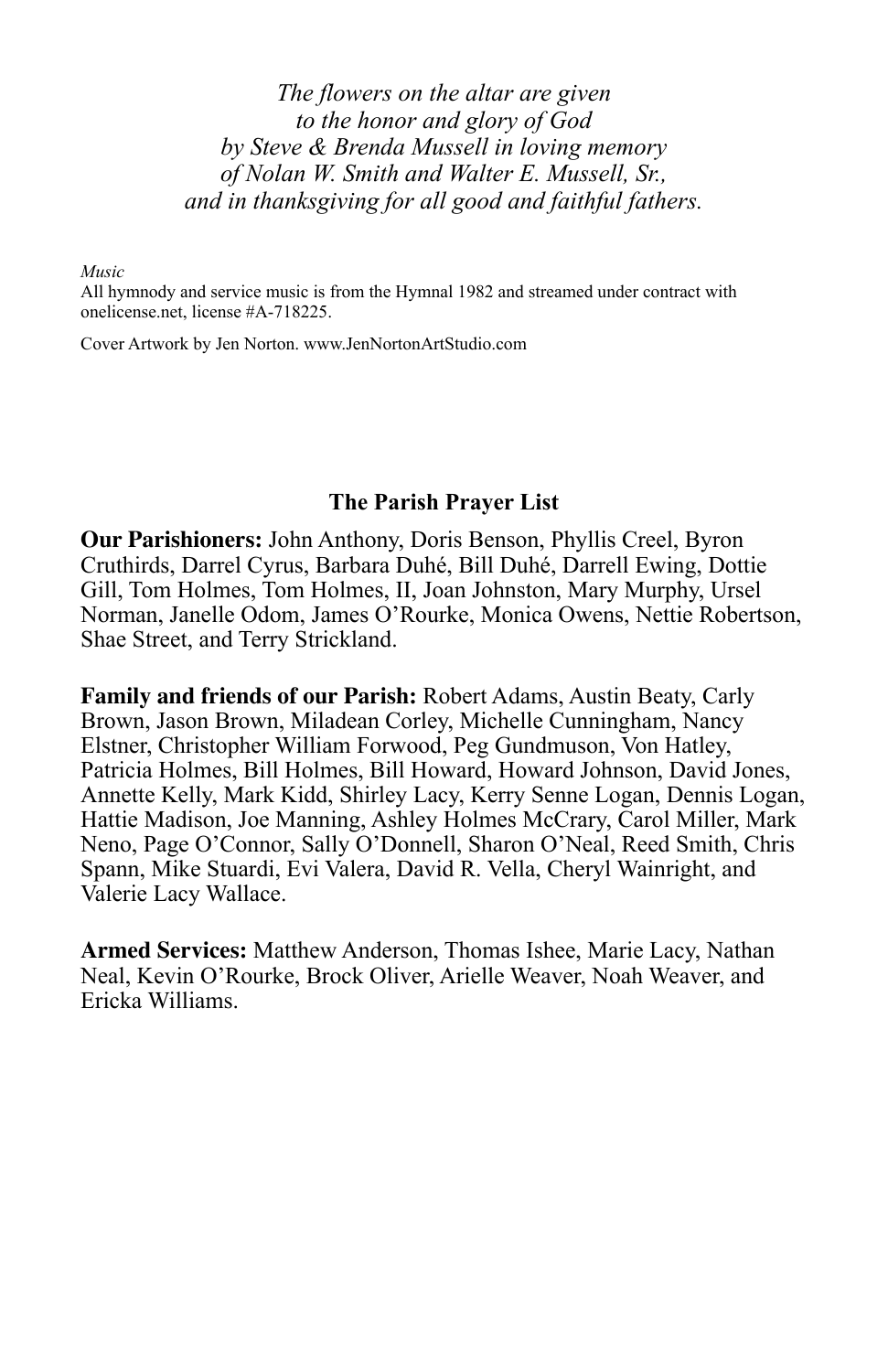*The flowers on the altar are given to the honor and glory of God by Steve & Brenda Mussell in loving memory of Nolan W. Smith and Walter E. Mussell, Sr., and in thanksgiving for all good and faithful fathers.* 

*Music*

All hymnody and service music is from the Hymnal 1982 and streamed under contract with onelicense.net, license #A-718225.

Cover Artwork by Jen Norton. [www.JenNortonArtStudio.com](http://www.jennortonartstudio.com/)

#### **The Parish Prayer List**

**Our Parishioners:** John Anthony, Doris Benson, Phyllis Creel, Byron Cruthirds, Darrel Cyrus, Barbara Duhé, Bill Duhé, Darrell Ewing, Dottie Gill, Tom Holmes, Tom Holmes, II, Joan Johnston, Mary Murphy, Ursel Norman, Janelle Odom, James O'Rourke, Monica Owens, Nettie Robertson, Shae Street, and Terry Strickland.

**Family and friends of our Parish:** Robert Adams, Austin Beaty, Carly Brown, Jason Brown, Miladean Corley, Michelle Cunningham, Nancy Elstner, Christopher William Forwood, Peg Gundmuson, Von Hatley, Patricia Holmes, Bill Holmes, Bill Howard, Howard Johnson, David Jones, Annette Kelly, Mark Kidd, Shirley Lacy, Kerry Senne Logan, Dennis Logan, Hattie Madison, Joe Manning, Ashley Holmes McCrary, Carol Miller, Mark Neno, Page O'Connor, Sally O'Donnell, Sharon O'Neal, Reed Smith, Chris Spann, Mike Stuardi, Evi Valera, David R. Vella, Cheryl Wainright, and Valerie Lacy Wallace.

**Armed Services:** Matthew Anderson, Thomas Ishee, Marie Lacy, Nathan Neal, Kevin O'Rourke, Brock Oliver, Arielle Weaver, Noah Weaver, and Ericka Williams.